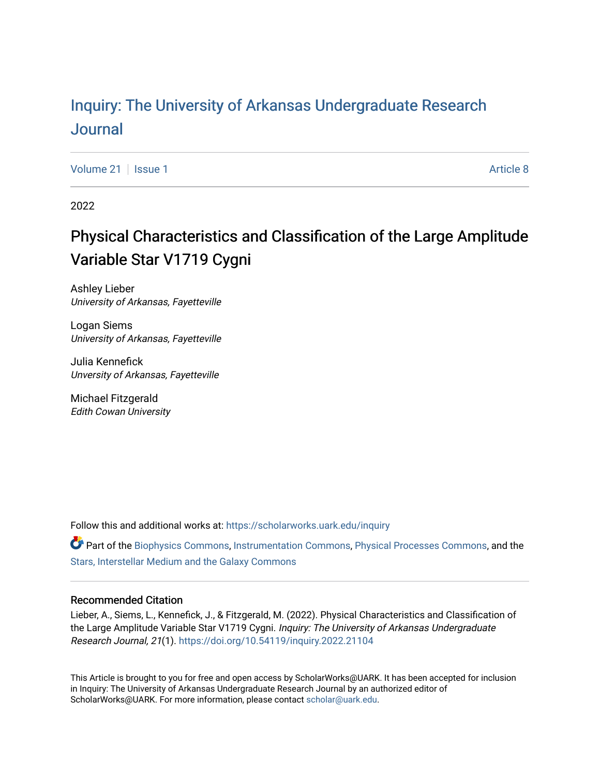## Inquiry: The Univ[ersity of Arkansas Undergraduate Resear](https://scholarworks.uark.edu/inquiry)ch [Journal](https://scholarworks.uark.edu/inquiry)

[Volume 21](https://scholarworks.uark.edu/inquiry/vol21) | [Issue 1](https://scholarworks.uark.edu/inquiry/vol21/iss1) Article 8

2022

# Physical Characteristics and Classification of the Large Amplitude Variable Star V1719 Cygni

Ashley Lieber University of Arkansas, Fayetteville

Logan Siems University of Arkansas, Fayetteville

Julia Kennefick Unversity of Arkansas, Fayetteville

Michael Fitzgerald Edith Cowan University

Follow this and additional works at: [https://scholarworks.uark.edu/inquiry](https://scholarworks.uark.edu/inquiry?utm_source=scholarworks.uark.edu%2Finquiry%2Fvol21%2Fiss1%2F8&utm_medium=PDF&utm_campaign=PDFCoverPages)

Part of the [Biophysics Commons](http://network.bepress.com/hgg/discipline/4?utm_source=scholarworks.uark.edu%2Finquiry%2Fvol21%2Fiss1%2F8&utm_medium=PDF&utm_campaign=PDFCoverPages), [Instrumentation Commons,](http://network.bepress.com/hgg/discipline/125?utm_source=scholarworks.uark.edu%2Finquiry%2Fvol21%2Fiss1%2F8&utm_medium=PDF&utm_campaign=PDFCoverPages) [Physical Processes Commons](http://network.bepress.com/hgg/discipline/124?utm_source=scholarworks.uark.edu%2Finquiry%2Fvol21%2Fiss1%2F8&utm_medium=PDF&utm_campaign=PDFCoverPages), and the [Stars, Interstellar Medium and the Galaxy Commons](http://network.bepress.com/hgg/discipline/127?utm_source=scholarworks.uark.edu%2Finquiry%2Fvol21%2Fiss1%2F8&utm_medium=PDF&utm_campaign=PDFCoverPages) 

#### Recommended Citation

Lieber, A., Siems, L., Kennefick, J., & Fitzgerald, M. (2022). Physical Characteristics and Classification of the Large Amplitude Variable Star V1719 Cygni. Inquiry: The University of Arkansas Undergraduate Research Journal, 21(1). <https://doi.org/10.54119/inquiry.2022.21104>

This Article is brought to you for free and open access by ScholarWorks@UARK. It has been accepted for inclusion in Inquiry: The University of Arkansas Undergraduate Research Journal by an authorized editor of ScholarWorks@UARK. For more information, please contact [scholar@uark.edu](mailto:scholar@uark.edu).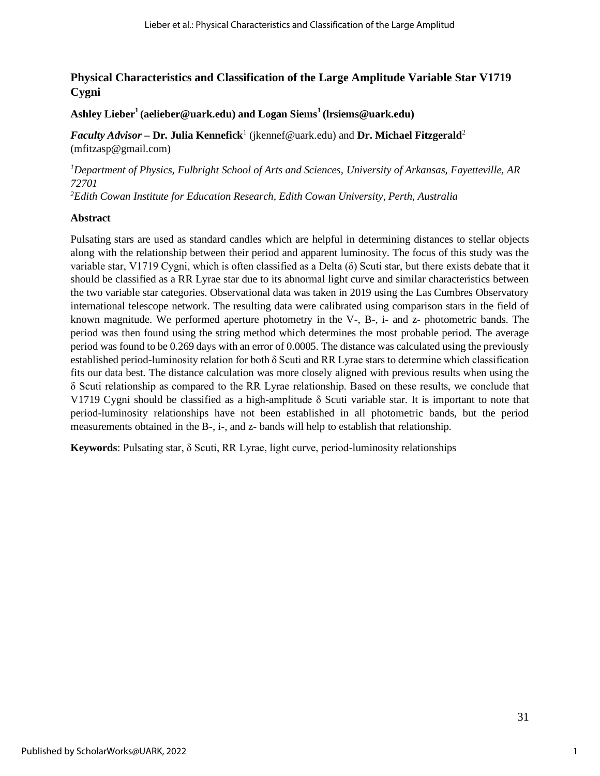## **Physical Characteristics and Classification of the Large Amplitude Variable Star V1719 Cygni**

**Ashley Lieber<sup>1</sup>(aelieber@uark.edu) and Logan Siems<sup>1</sup>(lrsiems@uark.edu)**

*Faculty Advisor –* **Dr. Julia Kennefick**<sup>1</sup> (jkennef@uark.edu) and **Dr. Michael Fitzgerald**<sup>2</sup> (mfitzasp@gmail.com)

*<sup>1</sup>Department of Physics, Fulbright School of Arts and Sciences, University of Arkansas, Fayetteville, AR 72701* 

*<sup>2</sup>Edith Cowan Institute for Education Research, Edith Cowan University, Perth, Australia* 

#### **Abstract**

Pulsating stars are used as standard candles which are helpful in determining distances to stellar objects along with the relationship between their period and apparent luminosity. The focus of this study was the variable star, V1719 Cygni, which is often classified as a Delta (δ) Scuti star, but there exists debate that it should be classified as a RR Lyrae star due to its abnormal light curve and similar characteristics between the two variable star categories. Observational data was taken in 2019 using the Las Cumbres Observatory international telescope network. The resulting data were calibrated using comparison stars in the field of known magnitude. We performed aperture photometry in the V-, B-, i- and z- photometric bands. The period was then found using the string method which determines the most probable period. The average period was found to be 0.269 days with an error of 0.0005. The distance was calculated using the previously established period-luminosity relation for both δ Scuti and RR Lyrae stars to determine which classification fits our data best. The distance calculation was more closely aligned with previous results when using the δ Scuti relationship as compared to the RR Lyrae relationship. Based on these results, we conclude that V1719 Cygni should be classified as a high-amplitude  $\delta$  Scuti variable star. It is important to note that period-luminosity relationships have not been established in all photometric bands, but the period measurements obtained in the B-, i-, and z- bands will help to establish that relationship.

**Keywords**: Pulsating star, δ Scuti, RR Lyrae, light curve, period-luminosity relationships

1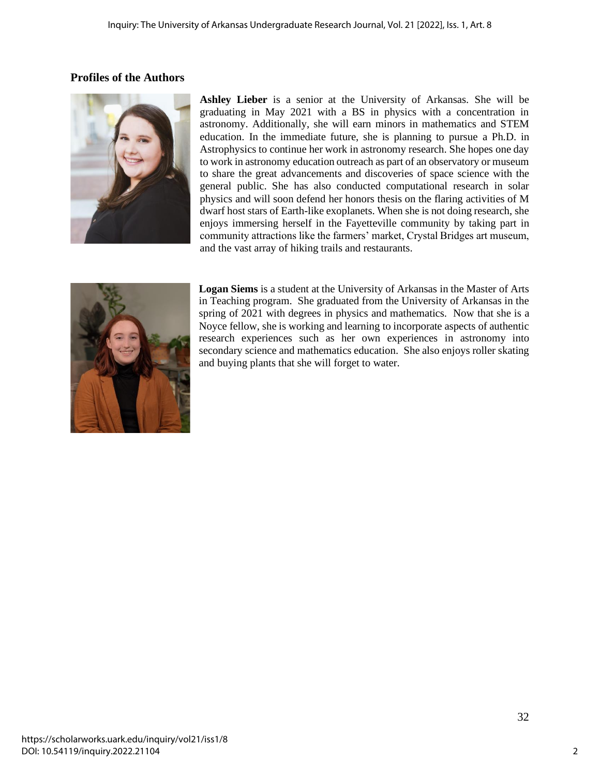## **Profiles of the Authors**



**Ashley Lieber** is a senior at the University of Arkansas. She will be graduating in May 2021 with a BS in physics with a concentration in astronomy. Additionally, she will earn minors in mathematics and STEM education. In the immediate future, she is planning to pursue a Ph.D. in Astrophysics to continue her work in astronomy research. She hopes one day to work in astronomy education outreach as part of an observatory or museum to share the great advancements and discoveries of space science with the general public. She has also conducted computational research in solar physics and will soon defend her honors thesis on the flaring activities of M dwarf host stars of Earth-like exoplanets. When she is not doing research, she enjoys immersing herself in the Fayetteville community by taking part in community attractions like the farmers' market, Crystal Bridges art museum, and the vast array of hiking trails and restaurants.



**Logan Siems** is a student at the University of Arkansas in the Master of Arts in Teaching program. She graduated from the University of Arkansas in the spring of 2021 with degrees in physics and mathematics. Now that she is a Noyce fellow, she is working and learning to incorporate aspects of authentic research experiences such as her own experiences in astronomy into secondary science and mathematics education. She also enjoys roller skating and buying plants that she will forget to water.

2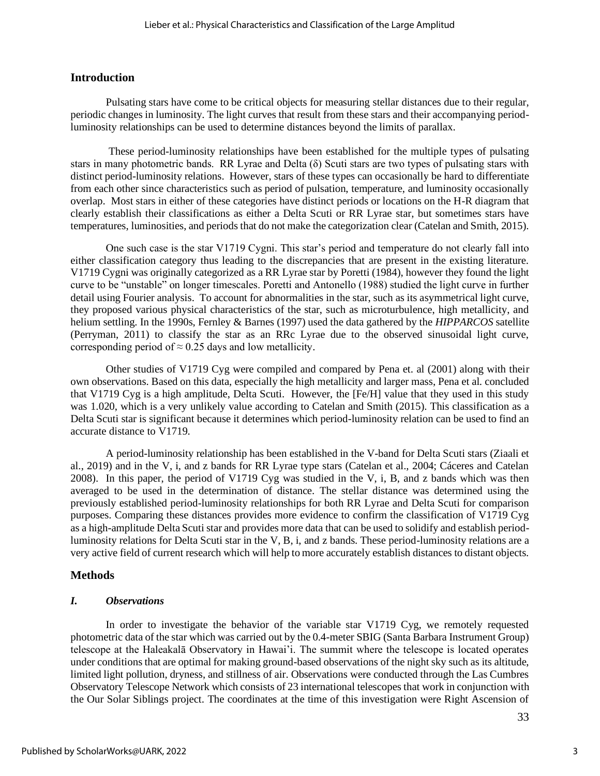#### **Introduction**

Pulsating stars have come to be critical objects for measuring stellar distances due to their regular, periodic changes in luminosity. The light curves that result from these stars and their accompanying periodluminosity relationships can be used to determine distances beyond the limits of parallax.

These period-luminosity relationships have been established for the multiple types of pulsating stars in many photometric bands. RR Lyrae and Delta (δ) Scuti stars are two types of pulsating stars with distinct period-luminosity relations. However, stars of these types can occasionally be hard to differentiate from each other since characteristics such as period of pulsation, temperature, and luminosity occasionally overlap. Most stars in either of these categories have distinct periods or locations on the H-R diagram that clearly establish their classifications as either a Delta Scuti or RR Lyrae star, but sometimes stars have temperatures, luminosities, and periods that do not make the categorization clear (Catelan and Smith, 2015).

One such case is the star V1719 Cygni. This star's period and temperature do not clearly fall into either classification category thus leading to the discrepancies that are present in the existing literature. V1719 Cygni was originally categorized as a RR Lyrae star by Poretti (1984), however they found the light curve to be "unstable" on longer timescales. Poretti and Antonello (1988) studied the light curve in further detail using Fourier analysis. To account for abnormalities in the star, such as its asymmetrical light curve, they proposed various physical characteristics of the star, such as microturbulence, high metallicity, and helium settling. In the 1990s, Fernley & Barnes (1997) used the data gathered by the *HIPPARCOS* satellite (Perryman, 2011) to classify the star as an RRc Lyrae due to the observed sinusoidal light curve, corresponding period of  $\approx 0.25$  days and low metallicity.

Other studies of V1719 Cyg were compiled and compared by Pena et. al (2001) along with their own observations. Based on this data, especially the high metallicity and larger mass, Pena et al. concluded that V1719 Cyg is a high amplitude, Delta Scuti. However, the [Fe/H] value that they used in this study was 1.020, which is a very unlikely value according to Catelan and Smith (2015). This classification as a Delta Scuti star is significant because it determines which period-luminosity relation can be used to find an accurate distance to V1719.

A period-luminosity relationship has been established in the V-band for Delta Scuti stars (Ziaali et al., 2019) and in the V, i, and z bands for RR Lyrae type stars (Catelan et al., 2004; Cáceres and Catelan 2008). In this paper, the period of V1719 Cyg was studied in the V, i, B, and z bands which was then averaged to be used in the determination of distance. The stellar distance was determined using the previously established period-luminosity relationships for both RR Lyrae and Delta Scuti for comparison purposes. Comparing these distances provides more evidence to confirm the classification of V1719 Cyg as a high-amplitude Delta Scuti star and provides more data that can be used to solidify and establish periodluminosity relations for Delta Scuti star in the V, B, i, and z bands. These period-luminosity relations are a very active field of current research which will help to more accurately establish distances to distant objects.

### **Methods**

### *I. Observations*

In order to investigate the behavior of the variable star V1719 Cyg, we remotely requested photometric data of the star which was carried out by the 0.4-meter SBIG (Santa Barbara Instrument Group) telescope at the Haleakalā Observatory in Hawai'i. The summit where the telescope is located operates under conditions that are optimal for making ground-based observations of the night sky such as its altitude, limited light pollution, dryness, and stillness of air. Observations were conducted through the Las Cumbres Observatory Telescope Network which consists of 23 international telescopes that work in conjunction with the Our Solar Siblings project. The coordinates at the time of this investigation were Right Ascension of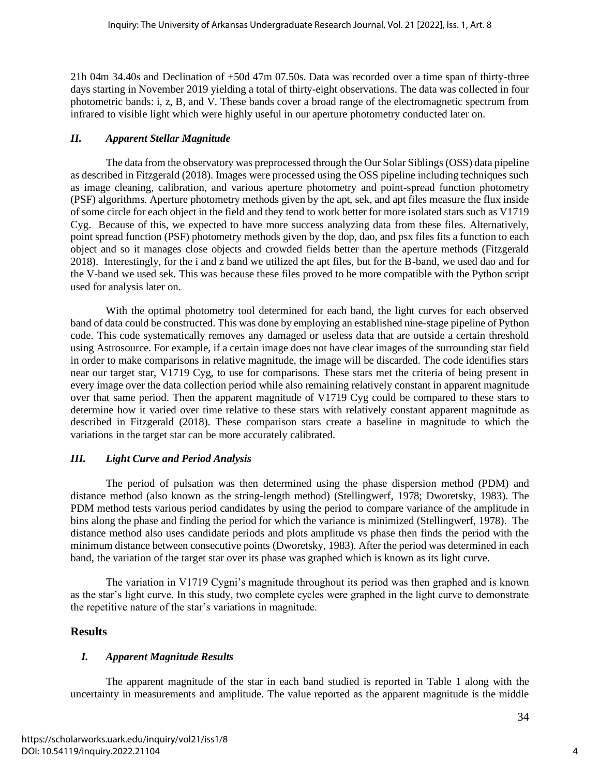21h 04m 34.40s and Declination of +50d 47m 07.50s. Data was recorded over a time span of thirty-three days starting in November 2019 yielding a total of thirty-eight observations. The data was collected in four photometric bands: i, z, B, and V. These bands cover a broad range of the electromagnetic spectrum from infrared to visible light which were highly useful in our aperture photometry conducted later on.

#### *II. Apparent Stellar Magnitude*

The data from the observatory was preprocessed through the Our Solar Siblings (OSS) data pipeline as described in Fitzgerald (2018). Images were processed using the OSS pipeline including techniques such as image cleaning, calibration, and various aperture photometry and point-spread function photometry (PSF) algorithms. Aperture photometry methods given by the apt, sek, and apt files measure the flux inside of some circle for each object in the field and they tend to work better for more isolated stars such as V1719 Cyg. Because of this, we expected to have more success analyzing data from these files. Alternatively, point spread function (PSF) photometry methods given by the dop, dao, and psx files fits a function to each object and so it manages close objects and crowded fields better than the aperture methods (Fitzgerald 2018). Interestingly, for the i and z band we utilized the apt files, but for the B-band, we used dao and for the V-band we used sek. This was because these files proved to be more compatible with the Python script used for analysis later on.

With the optimal photometry tool determined for each band, the light curves for each observed band of data could be constructed. This was done by employing an established nine-stage pipeline of Python code. This code systematically removes any damaged or useless data that are outside a certain threshold using Astrosource. For example, if a certain image does not have clear images of the surrounding star field in order to make comparisons in relative magnitude, the image will be discarded. The code identifies stars near our target star, V1719 Cyg, to use for comparisons. These stars met the criteria of being present in every image over the data collection period while also remaining relatively constant in apparent magnitude over that same period. Then the apparent magnitude of V1719 Cyg could be compared to these stars to determine how it varied over time relative to these stars with relatively constant apparent magnitude as described in Fitzgerald (2018). These comparison stars create a baseline in magnitude to which the variations in the target star can be more accurately calibrated.

### *III. Light Curve and Period Analysis*

The period of pulsation was then determined using the phase dispersion method (PDM) and distance method (also known as the string-length method) (Stellingwerf, 1978; Dworetsky, 1983). The PDM method tests various period candidates by using the period to compare variance of the amplitude in bins along the phase and finding the period for which the variance is minimized (Stellingwerf, 1978). The distance method also uses candidate periods and plots amplitude vs phase then finds the period with the minimum distance between consecutive points (Dworetsky, 1983). After the period was determined in each band, the variation of the target star over its phase was graphed which is known as its light curve.

The variation in V1719 Cygni's magnitude throughout its period was then graphed and is known as the star's light curve. In this study, two complete cycles were graphed in the light curve to demonstrate the repetitive nature of the star's variations in magnitude.

## **Results**

## *I. Apparent Magnitude Results*

The apparent magnitude of the star in each band studied is reported in Table 1 along with the uncertainty in measurements and amplitude. The value reported as the apparent magnitude is the middle

4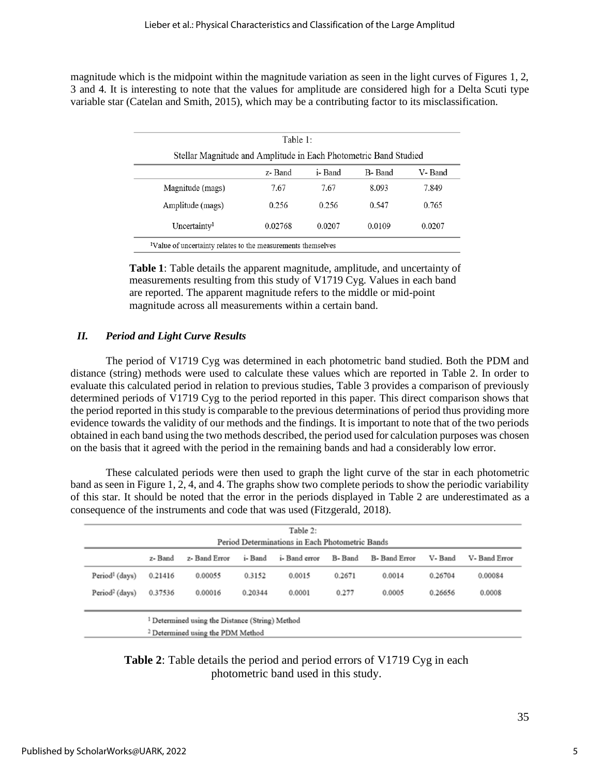magnitude which is the midpoint within the magnitude variation as seen in the light curves of Figures 1, 2, 3 and 4. It is interesting to note that the values for amplitude are considered high for a Delta Scuti type variable star (Catelan and Smith, 2015), which may be a contributing factor to its misclassification.

| Stellar Magnitude and Amplitude in Each Photometric Band Studied |         |         |        |        |  |  |
|------------------------------------------------------------------|---------|---------|--------|--------|--|--|
|                                                                  | z-Band  | i- Band | B-Band | V-Band |  |  |
| Magnitude (mags)                                                 | 7.67    | 7.67    | 8.093  | 7.849  |  |  |
| Amplitude (mags)                                                 | 0.256   | 0.256   | 0.547  | 0.765  |  |  |
| Uncertainty <sup>1</sup>                                         | 0.02768 | 0.0207  | 0.0109 | 0.0207 |  |  |

**Table 1**: Table details the apparent magnitude, amplitude, and uncertainty of measurements resulting from this study of V1719 Cyg. Values in each band are reported. The apparent magnitude refers to the middle or mid-point magnitude across all measurements within a certain band.

#### *II. Period and Light Curve Results*

The period of V1719 Cyg was determined in each photometric band studied. Both the PDM and distance (string) methods were used to calculate these values which are reported in Table 2. In order to evaluate this calculated period in relation to previous studies, Table 3 provides a comparison of previously determined periods of V1719 Cyg to the period reported in this paper. This direct comparison shows that the period reported in this study is comparable to the previous determinations of period thus providing more evidence towards the validity of our methods and the findings. It is important to note that of the two periods obtained in each band using the two methods described, the period used for calculation purposes was chosen on the basis that it agreed with the period in the remaining bands and had a considerably low error.

These calculated periods were then used to graph the light curve of the star in each photometric band as seen in Figure 1, 2, 4, and 4. The graphs show two complete periods to show the periodic variability of this star. It should be noted that the error in the periods displayed in Table 2 are underestimated as a consequence of the instruments and code that was used (Fitzgerald, 2018).

| Table 2:<br>Period Determinations in Each Photometric Bands |         |                                                            |         |               |        |               |         |              |
|-------------------------------------------------------------|---------|------------------------------------------------------------|---------|---------------|--------|---------------|---------|--------------|
|                                                             | z- Band | z- Band Error                                              | i-Band  | i- Band error | B-Band | B- Band Error | V-Band  | V-Band Error |
| Period <sup>1</sup> (days)                                  | 0.21416 | 0.00055                                                    | 0.3152  | 0.0015        | 0.2671 | 0.0014        | 0.26704 | 0.00084      |
| Period <sup>2</sup> (days)                                  | 0.37536 | 0.00016                                                    | 0.20344 | 0.0001        | 0.277  | 0.0005        | 0.26656 | 0.0008       |
|                                                             |         | <sup>1</sup> Determined using the Distance (String) Method |         |               |        |               |         |              |
|                                                             |         | <sup>2</sup> Determined using the PDM Method               |         |               |        |               |         |              |

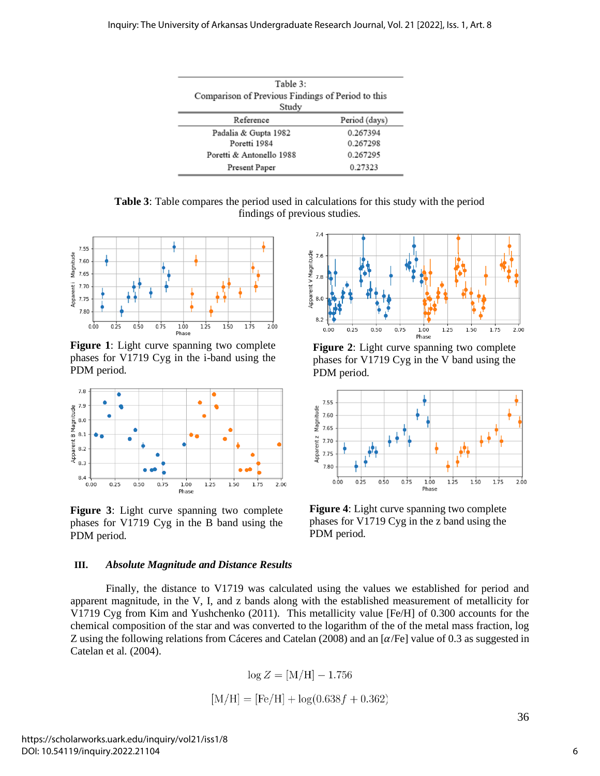| Table 3:<br>Comparison of Previous Findings of Period to this<br>Study |               |  |  |  |  |
|------------------------------------------------------------------------|---------------|--|--|--|--|
| Reference                                                              | Period (days) |  |  |  |  |
| Padalia & Gupta 1982                                                   | 0.267394      |  |  |  |  |
| Poretti 1984                                                           | 0.267298      |  |  |  |  |
| Poretti & Antonello 1988                                               | 0.267295      |  |  |  |  |
| Present Paper                                                          | 0.27323       |  |  |  |  |

**Table 3**: Table compares the period used in calculations for this study with the period findings of previous studies.



**Figure 1**: Light curve spanning two complete phases for V1719 Cyg in the i-band using the PDM period.



**Figure 3**: Light curve spanning two complete phases for V1719 Cyg in the B band using the PDM period.

#### **III.** *Absolute Magnitude and Distance Results*



$$
\log Z = [\text{M/H}] - 1.756
$$
  
[M/H] = [Fe/H] + log(0.638f + 0.362)



**Figure 2**: Light curve spanning two complete phases for V1719 Cyg in the V band using the PDM period.



**Figure 4**: Light curve spanning two complete phases for V1719 Cyg in the z band using the PDM period.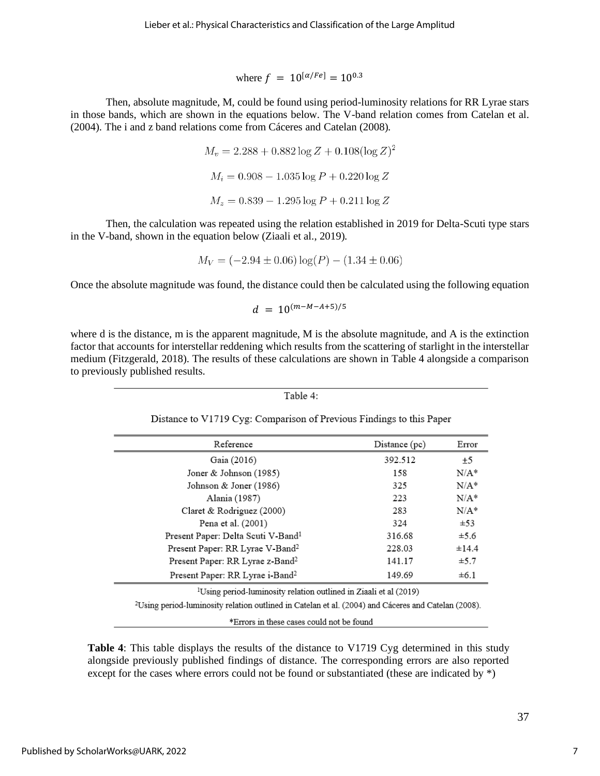where  $f = 10^{\lbrack \alpha / Fe \rbrack} = 10^{0.3}$ 

Then, absolute magnitude, M, could be found using period-luminosity relations for RR Lyrae stars in those bands, which are shown in the equations below. The V-band relation comes from Catelan et al. (2004). The i and z band relations come from Cáceres and Catelan (2008).

> $M_v = 2.288 + 0.882 \log Z + 0.108 (\log Z)^2$  $M_i = 0.908 - 1.035 \log P + 0.220 \log Z$  $M_z = 0.839 - 1.295 \log P + 0.211 \log Z$

Then, the calculation was repeated using the relation established in 2019 for Delta-Scuti type stars in the V-band, shown in the equation below (Ziaali et al., 2019).

$$
M_V = (-2.94 \pm 0.06) \log(P) - (1.34 \pm 0.06)
$$

Once the absolute magnitude was found, the distance could then be calculated using the following equation

$$
d = 10^{(m-M-A+5)/5}
$$

where d is the distance, m is the apparent magnitude, M is the absolute magnitude, and A is the extinction factor that accounts for interstellar reddening which results from the scattering of starlight in the interstellar medium (Fitzgerald, 2018). The results of these calculations are shown in Table 4 alongside a comparison to previously published results.

```
Table 4:
```
Distance to V1719 Cyg: Comparison of Previous Findings to this Paper

| Reference                                      | Distance (pc) | Error     |
|------------------------------------------------|---------------|-----------|
| Gaia (2016)                                    | 392.512       | ±5        |
| Joner & Johnson (1985)                         | 158           | $N/A^*$   |
| Johnson & Joner (1986)                         | 325           | $N/A^*$   |
| Alania (1987)                                  | 223           | $N/A^*$   |
| Claret & Rodriguez (2000)                      | 283           | $N/A^*$   |
| Pena et al. (2001)                             | 324           | ±53       |
| Present Paper: Delta Scuti V-Band <sup>1</sup> | 316.68        | $\pm$ 5.6 |
| Present Paper: RR Lyrae V-Band <sup>2</sup>    | 228.03        | ±14.4     |
| Present Paper: RR Lyrae z-Band <sup>2</sup>    | 141.17        | $\pm$ 5.7 |
| Present Paper: RR Lyrae i-Band <sup>2</sup>    | 149.69        | $\pm 6.1$ |

<sup>1</sup>Using period-luminosity relation outlined in Ziaali et al (2019)

<sup>2</sup>Using period-luminosity relation outlined in Catelan et al. (2004) and Cáceres and Catelan (2008).

\*Errors in these cases could not be found

**Table 4**: This table displays the results of the distance to V1719 Cyg determined in this study alongside previously published findings of distance. The corresponding errors are also reported except for the cases where errors could not be found or substantiated (these are indicated by  $*)$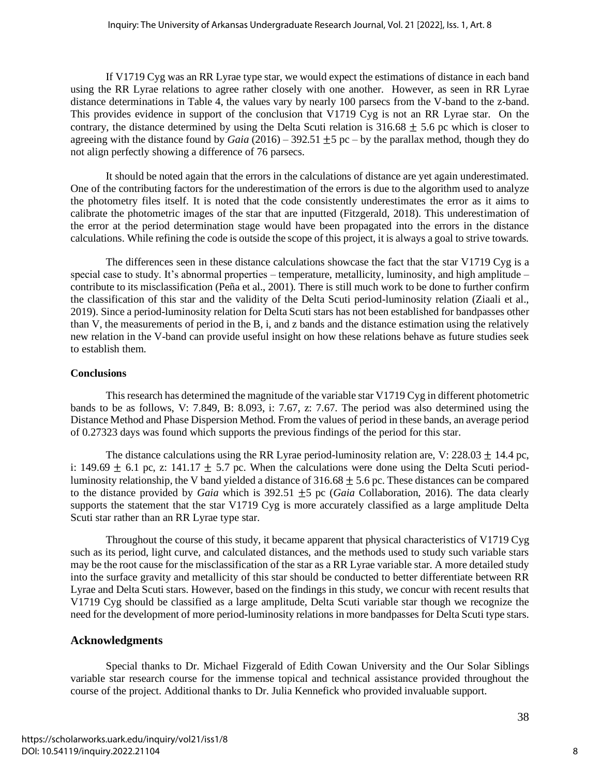If V1719 Cyg was an RR Lyrae type star, we would expect the estimations of distance in each band using the RR Lyrae relations to agree rather closely with one another. However, as seen in RR Lyrae distance determinations in Table 4, the values vary by nearly 100 parsecs from the V-band to the z-band. This provides evidence in support of the conclusion that V1719 Cyg is not an RR Lyrae star. On the contrary, the distance determined by using the Delta Scuti relation is  $316.68 \pm 5.6$  pc which is closer to agreeing with the distance found by *Gaia*  $(2016)$  – 392.51  $\pm$ 5 pc – by the parallax method, though they do not align perfectly showing a difference of 76 parsecs.

It should be noted again that the errors in the calculations of distance are yet again underestimated. One of the contributing factors for the underestimation of the errors is due to the algorithm used to analyze the photometry files itself. It is noted that the code consistently underestimates the error as it aims to calibrate the photometric images of the star that are inputted (Fitzgerald, 2018). This underestimation of the error at the period determination stage would have been propagated into the errors in the distance calculations. While refining the code is outside the scope of this project, it is always a goal to strive towards.

The differences seen in these distance calculations showcase the fact that the star V1719 Cyg is a special case to study. It's abnormal properties – temperature, metallicity, luminosity, and high amplitude – contribute to its misclassification (Peña et al., 2001). There is still much work to be done to further confirm the classification of this star and the validity of the Delta Scuti period-luminosity relation (Ziaali et al., 2019). Since a period-luminosity relation for Delta Scuti stars has not been established for bandpasses other than V, the measurements of period in the B, i, and z bands and the distance estimation using the relatively new relation in the V-band can provide useful insight on how these relations behave as future studies seek to establish them.

#### **Conclusions**

This research has determined the magnitude of the variable star V1719 Cyg in different photometric bands to be as follows, V: 7.849, B: 8.093, i: 7.67, z: 7.67. The period was also determined using the Distance Method and Phase Dispersion Method. From the values of period in these bands, an average period of 0.27323 days was found which supports the previous findings of the period for this star.

The distance calculations using the RR Lyrae period-luminosity relation are, V:  $228.03 \pm 14.4$  pc, i: 149.69  $\pm$  6.1 pc, z: 141.17  $\pm$  5.7 pc. When the calculations were done using the Delta Scuti periodluminosity relationship, the V band yielded a distance of  $316.68 \pm 5.6$  pc. These distances can be compared to the distance provided by *Gaia* which is 392.51 ±5 pc (*Gaia* Collaboration, 2016). The data clearly supports the statement that the star V1719 Cyg is more accurately classified as a large amplitude Delta Scuti star rather than an RR Lyrae type star.

Throughout the course of this study, it became apparent that physical characteristics of V1719 Cyg such as its period, light curve, and calculated distances, and the methods used to study such variable stars may be the root cause for the misclassification of the star as a RR Lyrae variable star. A more detailed study into the surface gravity and metallicity of this star should be conducted to better differentiate between RR Lyrae and Delta Scuti stars. However, based on the findings in this study, we concur with recent results that V1719 Cyg should be classified as a large amplitude, Delta Scuti variable star though we recognize the need for the development of more period-luminosity relations in more bandpasses for Delta Scuti type stars.

## **Acknowledgments**

Special thanks to Dr. Michael Fizgerald of Edith Cowan University and the Our Solar Siblings variable star research course for the immense topical and technical assistance provided throughout the course of the project. Additional thanks to Dr. Julia Kennefick who provided invaluable support.